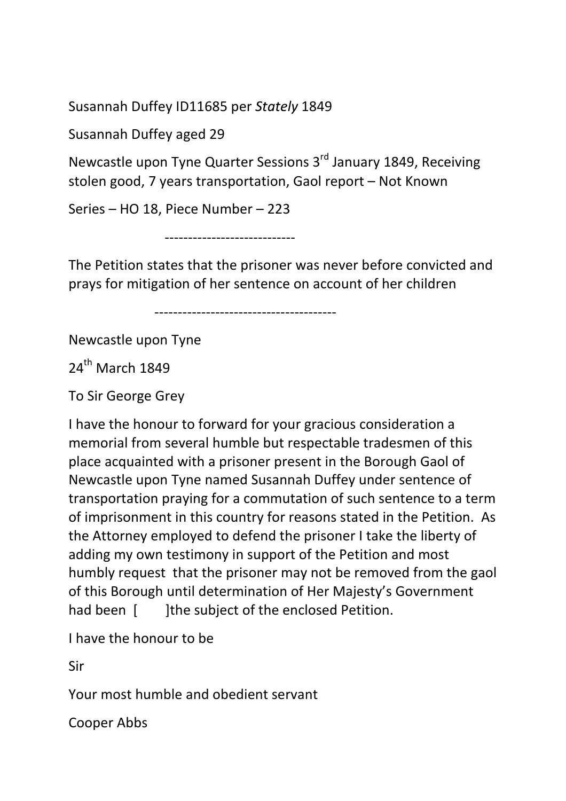Susannah Duffey ID11685 per Stately 1849

Susannah Duffey aged 29

Newcastle upon Tyne Quarter Sessions 3<sup>rd</sup> January 1849, Receiving stolen good, 7 years transportation, Gaol report – Not Known

Series – HO 18, Piece Number – 223

----------------------------

The Petition states that the prisoner was never before convicted and prays for mitigation of her sentence on account of her children

---------------------------------------

Newcastle upon Tyne

24<sup>th</sup> March 1849

To Sir George Grey

I have the honour to forward for your gracious consideration a memorial from several humble but respectable tradesmen of this place acquainted with a prisoner present in the Borough Gaol of Newcastle upon Tyne named Susannah Duffey under sentence of transportation praying for a commutation of such sentence to a term of imprisonment in this country for reasons stated in the Petition. As the Attorney employed to defend the prisoner I take the liberty of adding my own testimony in support of the Petition and most humbly request that the prisoner may not be removed from the gaol of this Borough until determination of Her Majesty's Government had been [ ]the subject of the enclosed Petition.

I have the honour to be

Sir

Your most humble and obedient servant

Cooper Abbs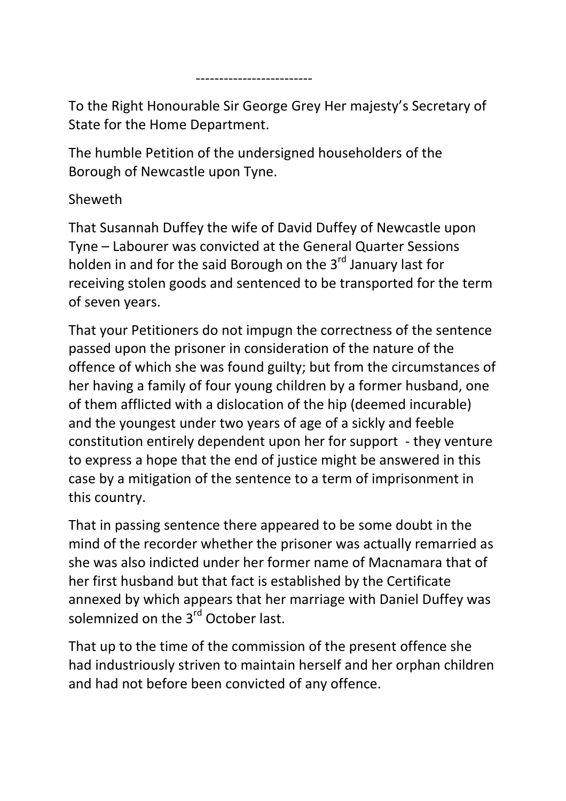To the Right Honourable Sir George Grey Her majesty's Secretary of State for the Home Department.

The humble Petition of the undersigned householders of the Borough of Newcastle upon Tyne.

-------------------------

## Sheweth

That Susannah Duffey the wife of David Duffey of Newcastle upon Tyne – Labourer was convicted at the General Quarter Sessions holden in and for the said Borough on the 3<sup>rd</sup> January last for receiving stolen goods and sentenced to be transported for the term of seven years.

That your Petitioners do not impugn the correctness of the sentence passed upon the prisoner in consideration of the nature of the offence of which she was found guilty; but from the circumstances of her having a family of four young children by a former husband, one of them afflicted with a dislocation of the hip (deemed incurable) and the youngest under two years of age of a sickly and feeble constitution entirely dependent upon her for support - they venture to express a hope that the end of justice might be answered in this case by a mitigation of the sentence to a term of imprisonment in this country.

That in passing sentence there appeared to be some doubt in the mind of the recorder whether the prisoner was actually remarried as she was also indicted under her former name of Macnamara that of her first husband but that fact is established by the Certificate annexed by which appears that her marriage with Daniel Duffey was solemnized on the 3<sup>rd</sup> October last.

That up to the time of the commission of the present offence she had industriously striven to maintain herself and her orphan children and had not before been convicted of any offence.